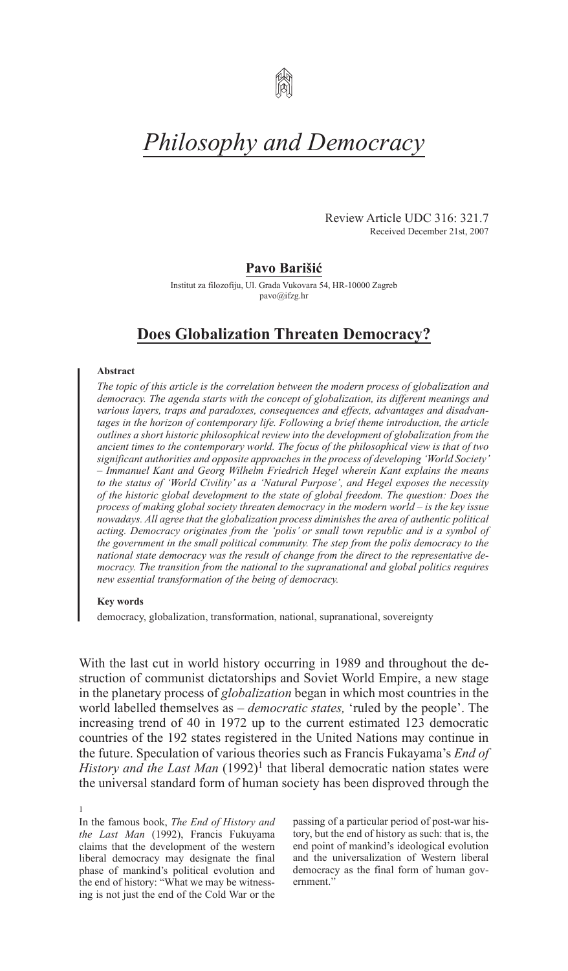

# *Philosophy and Democracy*

Review Article UDC 316: 321.7 Received December 21st, 2007

# **Pavo Barišić**

Institut za filozofiju, Ul. Grada Vukovara 54, Hr-10000 Zagreb pavo@ifzg.hr

# **Does Globalization Threaten Democracy?**

#### **Abstract**

*The topic of this article is the correlation between the modern process of globalization and democracy. The agenda starts with the concept of globalization, its different meanings and various layers, traps and paradoxes, consequences and effects, advantages and disadvantages in the horizon of contemporary life. Following a brief theme introduction, the article outlines a short historic philosophical review into the development of globalization from the ancient times to the contemporary world. The focus of the philosophical view is that of two significant authorities and opposite approaches in the process of developing 'World Society' – Immanuel Kant and Georg Wilhelm Friedrich Hegel wherein Kant explains the means to the status of 'World Civility' as a 'Natural Purpose', and Hegel exposes the necessity of the historic global development to the state of global freedom. The question: Does the process of making global society threaten democracy in the modern world – is the key issue nowadays. All agree that the globalization process diminishes the area of authentic political acting. Democracy originates from the 'polis' or small town republic and is a symbol of the government in the small political community. The step from the polis democracy to the national state democracy was the result of change from the direct to the representative democracy. The transition from the national to the supranational and global politics requires new essential transformation of the being of democracy.*

## **Key words**

democracy, globalization, transformation, national, supranational, sovereignty

With the last cut in world history occurring in 1989 and throughout the destruction of communist dictatorships and Soviet World Empire, a new stage in the planetary process of *globalization* began in which most countries in the world labelled themselves as – *democratic states,* 'ruled by the people'. The increasing trend of 40 in 1972 up to the current estimated 123 democratic countries of the 192 states registered in the United Nations may continue in the future. Speculation of various theories such as Francis Fukayama's *End of History and the Last Man*  $(1992)^1$  that liberal democratic nation states were the universal standard form of human society has been disproved through the

1 In the famous book, *The End of History and the Last Man* (1992), Francis Fukuyama claims that the development of the western liberal democracy may designate the final phase of mankind's political evolution and the end of history: "What we may be witnessing is not just the end of the Cold War or the

passing of a particular period of post-war history, but the end of history as such: that is, the end point of mankind's ideological evolution and the universalization of Western liberal democracy as the final form of human government<sup>"</sup>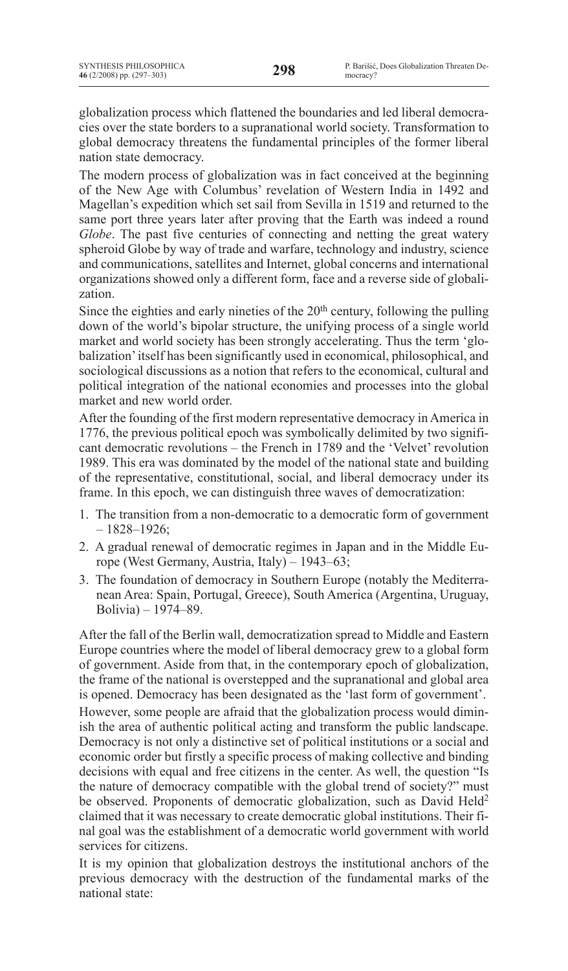globalization process which flattened the boundaries and led liberal democracies over the state borders to a supranational world society. Transformation to global democracy threatens the fundamental principles of the former liberal nation state democracy.

The modern process of globalization was in fact conceived at the beginning of the New Age with Columbus' revelation of Western India in 1492 and Magellan's expedition which set sail from Sevilla in 1519 and returned to the same port three years later after proving that the Earth was indeed a round *Globe*. The past five centuries of connecting and netting the great watery spheroid Globe by way of trade and warfare, technology and industry, science and communications, satellites and Internet, global concerns and international organizations showed only a different form, face and a reverse side of globalization.

Since the eighties and early nineties of the  $20<sup>th</sup>$  century, following the pulling down of the world's bipolar structure, the unifying process of a single world market and world society has been strongly accelerating. Thus the term 'globalization'itself has been significantly used in economical, philosophical, and sociological discussions as a notion that refers to the economical, cultural and political integration of the national economies and processes into the global market and new world order.

After the founding of the first modern representative democracy in America in 1776, the previous political epoch was symbolically delimited by two significant democratic revolutions – the French in 1789 and the 'Velvet' revolution 1989. This era was dominated by the model of the national state and building of the representative, constitutional, social, and liberal democracy under its frame. In this epoch, we can distinguish three waves of democratization:

- 1. The transition from a non-democratic to a democratic form of government – 1828–1926;
- 2. A gradual renewal of democratic regimes in Japan and in the Middle Europe (West Germany, Austria, Italy) – 1943–63;
- 3. The foundation of democracy in Southern Europe (notably the Mediterranean Area: Spain, Portugal, Greece), South America (Argentina, Uruguay, Bolivia) – 1974–89.

After the fall of the Berlin wall, democratization spread to Middle and Eastern Europe countries where the model of liberal democracy grew to a global form of government. Aside from that, in the contemporary epoch of globalization, the frame of the national is overstepped and the supranational and global area is opened. Democracy has been designated as the 'last form of government'. However, some people are afraid that the globalization process would diminish the area of authentic political acting and transform the public landscape. Democracy is not only a distinctive set of political institutions or a social and economic order but firstly a specific process of making collective and binding decisions with equal and free citizens in the center. As well, the question "Is the nature of democracy compatible with the global trend of society?" must be observed. Proponents of democratic globalization, such as David Held<sup>2</sup> claimed that it was necessary to create democratic global institutions. Their final goal was the establishment of a democratic world government with world services for citizens.

It is my opinion that globalization destroys the institutional anchors of the previous democracy with the destruction of the fundamental marks of the national state: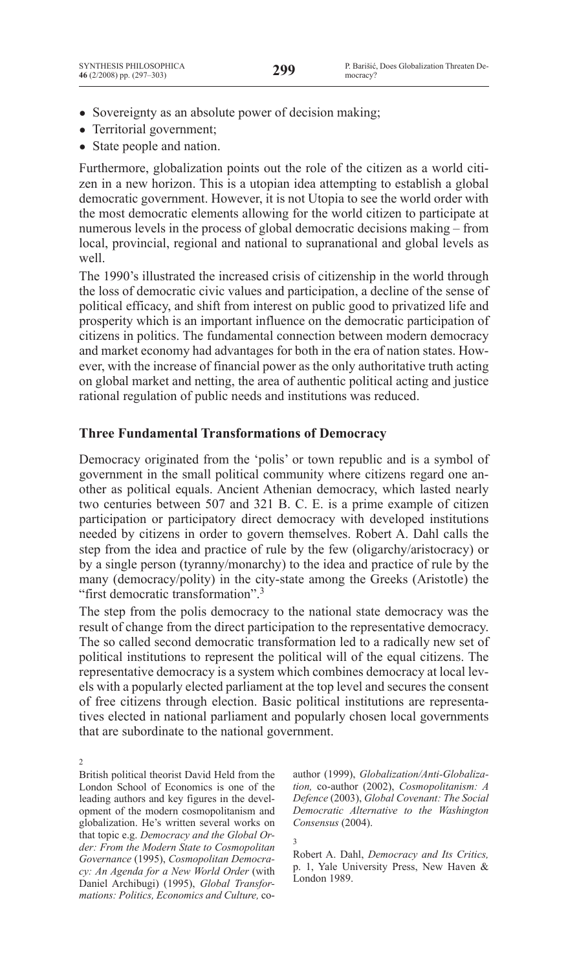- Sovereignty as an absolute power of decision making;
- Territorial government;
- State people and nation.

Furthermore, globalization points out the role of the citizen as a world citizen in a new horizon. This is a utopian idea attempting to establish a global democratic government. However, it is not Utopia to see the world order with the most democratic elements allowing for the world citizen to participate at numerous levels in the process of global democratic decisions making – from local, provincial, regional and national to supranational and global levels as well.

The 1990's illustrated the increased crisis of citizenship in the world through the loss of democratic civic values and participation, a decline of the sense of political efficacy, and shift from interest on public good to privatized life and prosperity which is an important influence on the democratic participation of citizens in politics. The fundamental connection between modern democracy and market economy had advantages for both in the era of nation states. However, with the increase of financial power as the only authoritative truth acting on global market and netting, the area of authentic political acting and justice rational regulation of public needs and institutions was reduced.

# **Three Fundamental Transformations of Democracy**

Democracy originated from the 'polis' or town republic and is a symbol of government in the small political community where citizens regard one another as political equals. Ancient Athenian democracy, which lasted nearly two centuries between 507 and 321 B. C. E. is a prime example of citizen participation or participatory direct democracy with developed institutions needed by citizens in order to govern themselves. Robert A. Dahl calls the step from the idea and practice of rule by the few (oligarchy/aristocracy) or by a single person (tyranny/monarchy) to the idea and practice of rule by the many (democracy/polity) in the city-state among the Greeks (Aristotle) the "first democratic transformation".3

The step from the polis democracy to the national state democracy was the result of change from the direct participation to the representative democracy. The so called second democratic transformation led to a radically new set of political institutions to represent the political will of the equal citizens. The representative democracy is a system which combines democracy at local levels with a popularly elected parliament at the top level and secures the consent of free citizens through election. Basic political institutions are representatives elected in national parliament and popularly chosen local governments that are subordinate to the national government.

2

British political theorist David Held from the London School of Economics is one of the leading authors and key figures in the development of the modern cosmopolitanism and globalization. He's written several works on that topic e.g. *Democracy and the Global Order: From the Modern State to Cosmopolitan Governance* (1995), *Cosmopolitan Democracy: An Agenda for a New World Order* (with Daniel Archibugi) (1995), *Global Transformations: Politics, Economics and Culture,* coauthor (1999), *Globalization/Anti-Globalization,* co-author (2002), *Cosmopolitanism: A Defence* (2003), *Global Covenant: The Social Democratic Alternative to the Washington Consensus* (2004).

3

Robert A. Dahl, *Democracy and Its Critics,*  p. 1, Yale University Press, New Haven & London 1989.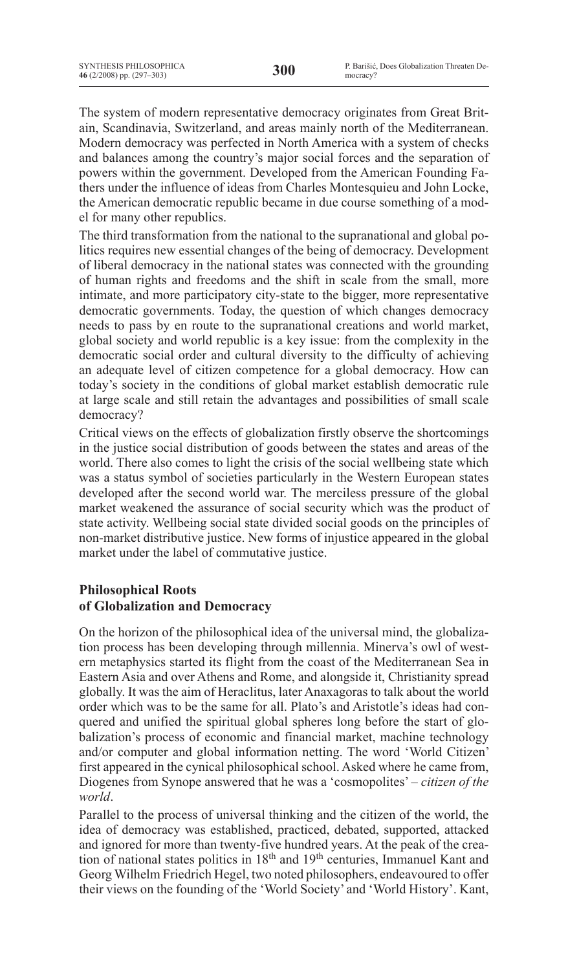The system of modern representative democracy originates from Great Britain, Scandinavia, Switzerland, and areas mainly north of the Mediterranean. Modern democracy was perfected in North America with a system of checks and balances among the country's major social forces and the separation of powers within the government. Developed from the American Founding Fathers under the influence of ideas from Charles Montesquieu and John Locke, the American democratic republic became in due course something of a model for many other republics.

The third transformation from the national to the supranational and global politics requires new essential changes of the being of democracy. Development of liberal democracy in the national states was connected with the grounding of human rights and freedoms and the shift in scale from the small, more intimate, and more participatory city-state to the bigger, more representative democratic governments. Today, the question of which changes democracy needs to pass by en route to the supranational creations and world market, global society and world republic is a key issue: from the complexity in the democratic social order and cultural diversity to the difficulty of achieving an adequate level of citizen competence for a global democracy. How can today's society in the conditions of global market establish democratic rule at large scale and still retain the advantages and possibilities of small scale democracy?

Critical views on the effects of globalization firstly observe the shortcomings in the justice social distribution of goods between the states and areas of the world. There also comes to light the crisis of the social wellbeing state which was a status symbol of societies particularly in the Western European states developed after the second world war. The merciless pressure of the global market weakened the assurance of social security which was the product of state activity. Wellbeing social state divided social goods on the principles of non-market distributive justice. New forms of injustice appeared in the global market under the label of commutative justice.

# **Philosophical Roots of Globalization and Democracy**

On the horizon of the philosophical idea of the universal mind, the globalization process has been developing through millennia. Minerva's owl of western metaphysics started its flight from the coast of the Mediterranean Sea in Eastern Asia and over Athens and Rome, and alongside it, Christianity spread globally. It was the aim of Heraclitus, later Anaxagoras to talk about the world order which was to be the same for all. Plato's and Aristotle's ideas had conquered and unified the spiritual global spheres long before the start of globalization's process of economic and financial market, machine technology and/or computer and global information netting. The word 'World Citizen' first appeared in the cynical philosophical school. Asked where he came from, Diogenes from Synope answered that he was a 'cosmopolites' – *citizen of the world*.

Parallel to the process of universal thinking and the citizen of the world, the idea of democracy was established, practiced, debated, supported, attacked and ignored for more than twenty-five hundred years. At the peak of the creation of national states politics in 18th and 19th centuries, Immanuel Kant and Georg Wilhelm Friedrich Hegel, two noted philosophers, endeavoured to offer their views on the founding of the 'World Society' and 'World History'. Kant,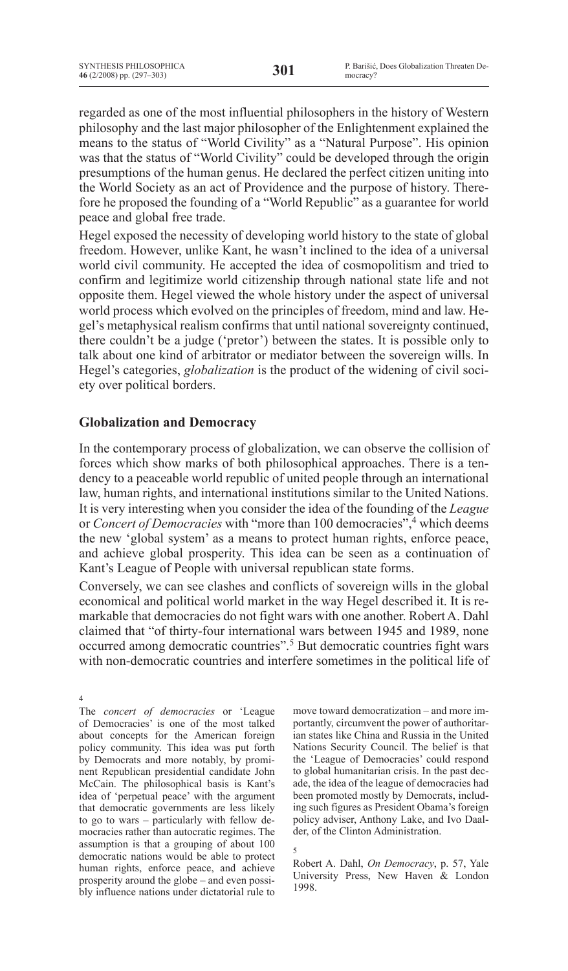regarded as one of the most influential philosophers in the history of Western philosophy and the last major philosopher of the Enlightenment explained the means to the status of "World Civility" as a "Natural Purpose". His opinion was that the status of "World Civility" could be developed through the origin presumptions of the human genus. He declared the perfect citizen uniting into the World Society as an act of Providence and the purpose of history. Therefore he proposed the founding of a "World Republic" as a guarantee for world peace and global free trade.

Hegel exposed the necessity of developing world history to the state of global freedom. However, unlike Kant, he wasn't inclined to the idea of a universal world civil community. He accepted the idea of cosmopolitism and tried to confirm and legitimize world citizenship through national state life and not opposite them. Hegel viewed the whole history under the aspect of universal world process which evolved on the principles of freedom, mind and law. Hegel's metaphysical realism confirms that until national sovereignty continued, there couldn't be a judge ('pretor') between the states. It is possible only to talk about one kind of arbitrator or mediator between the sovereign wills. In Hegel's categories, *globalization* is the product of the widening of civil society over political borders.

# **Globalization and Democracy**

In the contemporary process of globalization, we can observe the collision of forces which show marks of both philosophical approaches. There is a tendency to a peaceable world republic of united people through an international law, human rights, and international institutions similar to the United Nations. It is very interesting when you consider the idea of the founding of the *League* or *Concert of Democracies* with "more than 100 democracies",<sup>4</sup> which deems the new 'global system' as a means to protect human rights, enforce peace, and achieve global prosperity. This idea can be seen as a continuation of Kant's League of People with universal republican state forms.

Conversely, we can see clashes and conflicts of sovereign wills in the global economical and political world market in the way Hegel described it. It is remarkable that democracies do not fight wars with one another. Robert A. Dahl claimed that "of thirty-four international wars between 1945 and 1989, none occurred among democratic countries".5 But democratic countries fight wars with non-democratic countries and interfere sometimes in the political life of

4

The *concert of democracies* or 'League of Democracies' is one of the most talked about concepts for the American foreign policy community. This idea was put forth by Democrats and more notably, by prominent Republican presidential candidate John McCain. The philosophical basis is Kant's idea of 'perpetual peace' with the argument that democratic governments are less likely to go to wars – particularly with fellow democracies rather than autocratic regimes. The assumption is that a grouping of about 100 democratic nations would be able to protect human rights, enforce peace, and achieve prosperity around the globe – and even possibly influence nations under dictatorial rule to

move toward democratization – and more importantly, circumvent the power of authoritarian states like China and Russia in the United Nations Security Council. The belief is that the 'League of Democracies' could respond to global humanitarian crisis. In the past decade, the idea of the league of democracies had been promoted mostly by Democrats, including such figures as President Obama's foreign policy adviser, Anthony Lake, and Ivo Daalder, of the Clinton Administration.

5

Robert A. Dahl, *On Democracy*, p. 57, Yale University Press, New Haven & London 1998.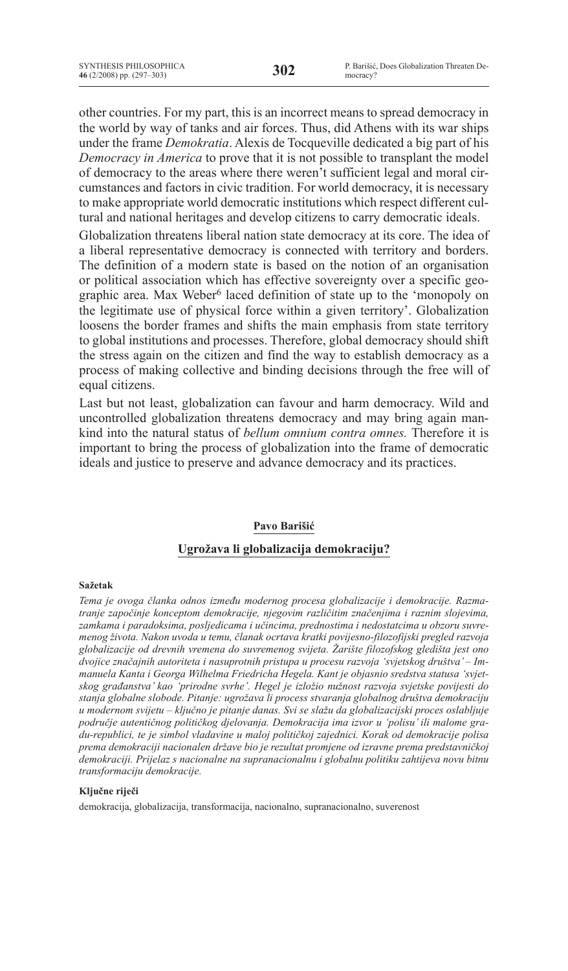other countries. For my part, this is an incorrect means to spread democracy in the world by way of tanks and air forces. Thus, did Athens with its war ships under the frame *Demokratia*. Alexis de Tocqueville dedicated a big part of his *Democracy in America* to prove that it is not possible to transplant the model of democracy to the areas where there weren't sufficient legal and moral circumstances and factors in civic tradition. For world democracy, it is necessary to make appropriate world democratic institutions which respect different cultural and national heritages and develop citizens to carry democratic ideals.

Globalization threatens liberal nation state democracy at its core. The idea of a liberal representative democracy is connected with territory and borders. The definition of a modern state is based on the notion of an organisation or political association which has effective sovereignty over a specific geographic area. Max Weber<sup>6</sup> laced definition of state up to the 'monopoly on the legitimate use of physical force within a given territory'. Globalization loosens the border frames and shifts the main emphasis from state territory to global institutions and processes. Therefore, global democracy should shift the stress again on the citizen and find the way to establish democracy as a process of making collective and binding decisions through the free will of equal citizens.

Last but not least, globalization can favour and harm democracy. Wild and uncontrolled globalization threatens democracy and may bring again mankind into the natural status of *bellum omnium contra omnes.* Therefore it is important to bring the process of globalization into the frame of democratic ideals and justice to preserve and advance democracy and its practices.

## **Pavo Barišić**

# **Ugrožava li globalizacija demokraciju?**

#### **Sažetak**

*Tema je ovoga članka odnos između modernog procesa globalizacije i demokracije. Razmatranje započinje konceptom demokracije, njegovim različitim značenjima i raznim slojevima, zamkama i paradoksima, posljedicama i učincima, prednostima i nedostatcima u obzoru suvremenog života. Nakon uvoda u temu, članak ocrtava kratki povijesno-filozofijski pregled razvoja globalizacije od drevnih vremena do suvremenog svijeta. Žarište filozofskog gledišta jest ono dvojice značajnih autoriteta i nasuprotnih pristupa u procesu razvoja 'svjetskog društva' – Immanuela Kanta i Georga Wilhelma Friedricha Hegela. Kant je objasnio sredstva statusa 'svjetskog građanstva' kao 'prirodne svrhe'. Hegel je izložio nužnost razvoja svjetske povijesti do stanja globalne slobode. Pitanje: ugrožava li process stvaranja globalnog društva demokraciju u modernom svijetu – ključno je pitanje danas. Svi se slažu da globalizacijski proces oslabljuje područje autentičnog političkog djelovanja. Demokracija ima izvor u 'polisu' ili malome gradu-republici, te je simbol vladavine u maloj političkoj zajednici. Korak od demokracije polisa prema demokraciji nacionalen države bio je rezultat promjene od izravne prema predstavničkoj demokraciji. Prijelaz s nacionalne na supranacionalnu i globalnu politiku zahtijeva novu bitnu transformaciju demokracije.*

#### **Ključne riječi**

demokracija, globalizacija, transformacija, nacionalno, supranacionalno, suverenost